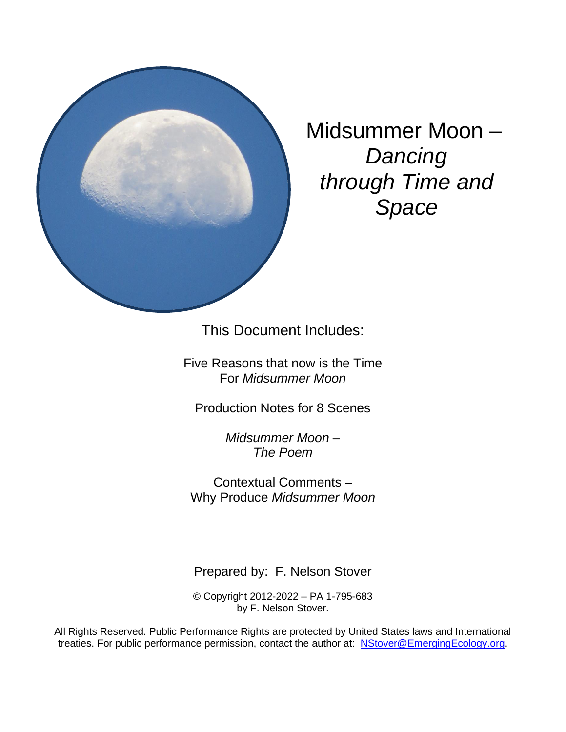

Midsummer Moon – *Dancing through Time and Space*

This Document Includes:

Five Reasons that now is the Time For *Midsummer Moon*

Production Notes for 8 Scenes

*Midsummer Moon – The Poem*

Contextual Comments – Why Produce *Midsummer Moon*

Prepared by: F. Nelson Stover

© Copyright 2012-2022 – PA 1-795-683 by F. Nelson Stover.

All Rights Reserved. Public Performance Rights are protected by United States laws and International treaties. For public performance permission, contact the author at: [NStover@EmergingEcology.org.](mailto:NStover@EmergingEcology.org)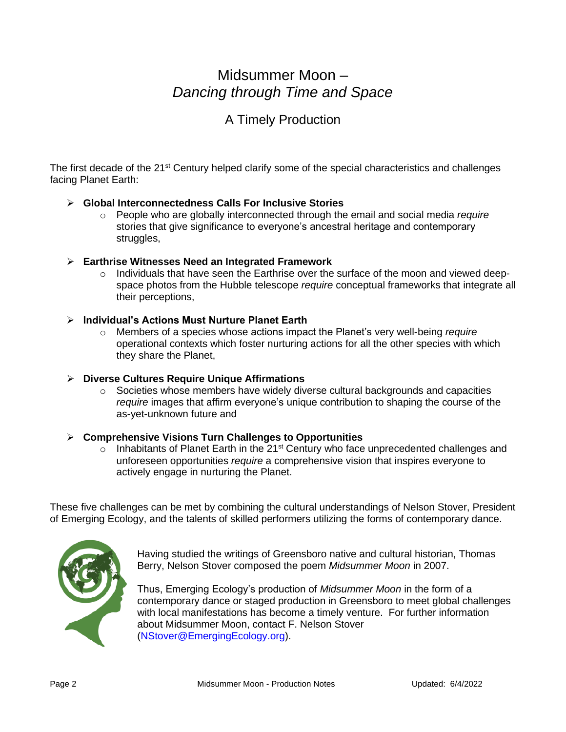# Midsummer Moon – *Dancing through Time and Space*

### A Timely Production

The first decade of the 21<sup>st</sup> Century helped clarify some of the special characteristics and challenges facing Planet Earth:

### ➢ **Global Interconnectedness Calls For Inclusive Stories**

o People who are globally interconnected through the email and social media *require* stories that give significance to everyone's ancestral heritage and contemporary struggles,

#### ➢ **Earthrise Witnesses Need an Integrated Framework**

 $\circ$  Individuals that have seen the Earthrise over the surface of the moon and viewed deepspace photos from the Hubble telescope *require* conceptual frameworks that integrate all their perceptions,

### ➢ **Individual's Actions Must Nurture Planet Earth**

o Members of a species whose actions impact the Planet's very well-being *require* operational contexts which foster nurturing actions for all the other species with which they share the Planet,

#### ➢ **Diverse Cultures Require Unique Affirmations**

 $\circ$  Societies whose members have widely diverse cultural backgrounds and capacities *require* images that affirm everyone's unique contribution to shaping the course of the as-yet-unknown future and

#### ➢ **Comprehensive Visions Turn Challenges to Opportunities**

 $\circ$  Inhabitants of Planet Earth in the 21<sup>st</sup> Century who face unprecedented challenges and unforeseen opportunities *require* a comprehensive vision that inspires everyone to actively engage in nurturing the Planet.

These five challenges can be met by combining the cultural understandings of Nelson Stover, President of Emerging Ecology, and the talents of skilled performers utilizing the forms of contemporary dance.



Having studied the writings of Greensboro native and cultural historian, Thomas Berry, Nelson Stover composed the poem *Midsummer Moon* in 2007.

Thus, Emerging Ecology's production of *Midsummer Moon* in the form of a contemporary dance or staged production in Greensboro to meet global challenges with local manifestations has become a timely venture. For further information about Midsummer Moon, contact F. Nelson Stover [\(NStover@EmergingEcology.org\)](mailto:NStover@EmergingEcology.org).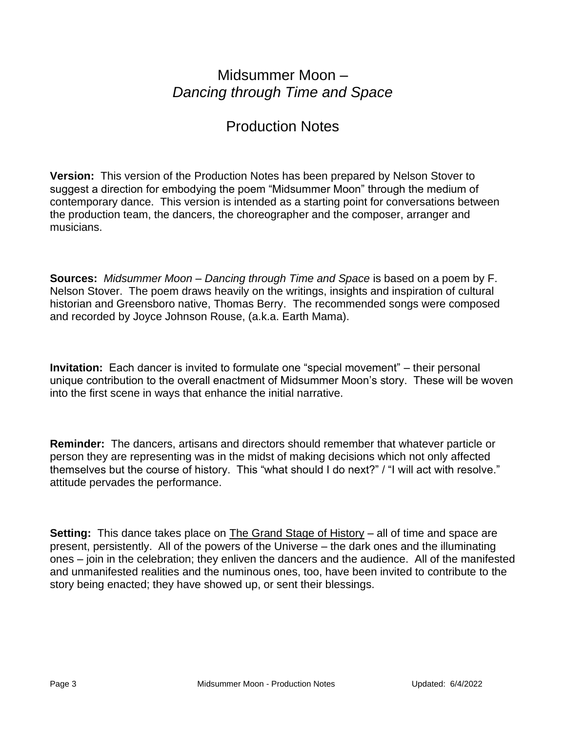# Midsummer Moon – *Dancing through Time and Space*

## Production Notes

**Version:** This version of the Production Notes has been prepared by Nelson Stover to suggest a direction for embodying the poem "Midsummer Moon" through the medium of contemporary dance. This version is intended as a starting point for conversations between the production team, the dancers, the choreographer and the composer, arranger and musicians.

**Sources:** *Midsummer Moon – Dancing through Time and Space* is based on a poem by F. Nelson Stover. The poem draws heavily on the writings, insights and inspiration of cultural historian and Greensboro native, Thomas Berry. The recommended songs were composed and recorded by Joyce Johnson Rouse, (a.k.a. Earth Mama).

**Invitation:** Each dancer is invited to formulate one "special movement" – their personal unique contribution to the overall enactment of Midsummer Moon's story. These will be woven into the first scene in ways that enhance the initial narrative.

**Reminder:** The dancers, artisans and directors should remember that whatever particle or person they are representing was in the midst of making decisions which not only affected themselves but the course of history. This "what should I do next?" / "I will act with resolve." attitude pervades the performance.

**Setting:** This dance takes place on The Grand Stage of History – all of time and space are present, persistently. All of the powers of the Universe – the dark ones and the illuminating ones – join in the celebration; they enliven the dancers and the audience. All of the manifested and unmanifested realities and the numinous ones, too, have been invited to contribute to the story being enacted; they have showed up, or sent their blessings.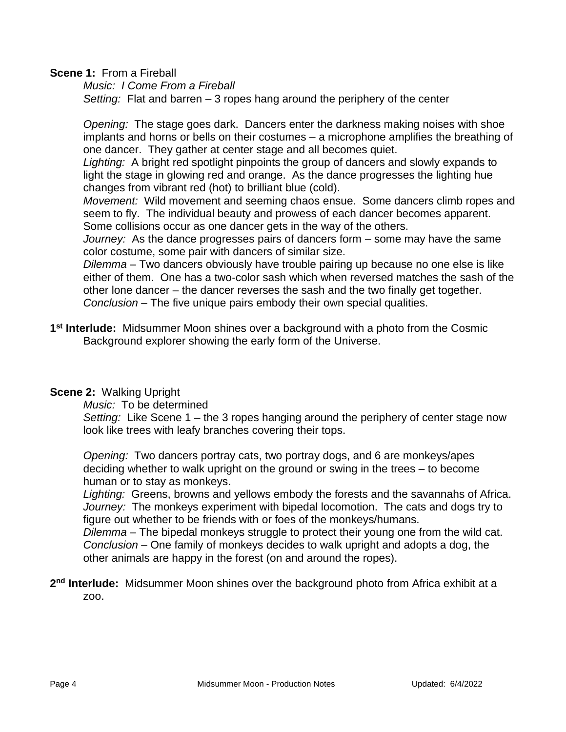**Scene 1:** From a Fireball

*Music: I Come From a Fireball Setting:* Flat and barren – 3 ropes hang around the periphery of the center

*Opening:* The stage goes dark. Dancers enter the darkness making noises with shoe implants and horns or bells on their costumes – a microphone amplifies the breathing of one dancer. They gather at center stage and all becomes quiet.

*Lighting:* A bright red spotlight pinpoints the group of dancers and slowly expands to light the stage in glowing red and orange. As the dance progresses the lighting hue changes from vibrant red (hot) to brilliant blue (cold).

*Movement:* Wild movement and seeming chaos ensue. Some dancers climb ropes and seem to fly. The individual beauty and prowess of each dancer becomes apparent. Some collisions occur as one dancer gets in the way of the others.

*Journey:* As the dance progresses pairs of dancers form – some may have the same color costume, some pair with dancers of similar size.

*Dilemma* – Two dancers obviously have trouble pairing up because no one else is like either of them. One has a two-color sash which when reversed matches the sash of the other lone dancer – the dancer reverses the sash and the two finally get together. *Conclusion* – The five unique pairs embody their own special qualities.

**1 st Interlude:** Midsummer Moon shines over a background with a photo from the Cosmic Background explorer showing the early form of the Universe.

### **Scene 2:** Walking Upright

*Music:* To be determined

*Setting:* Like Scene 1 – the 3 ropes hanging around the periphery of center stage now look like trees with leafy branches covering their tops.

*Opening:* Two dancers portray cats, two portray dogs, and 6 are monkeys/apes deciding whether to walk upright on the ground or swing in the trees – to become human or to stay as monkeys.

*Lighting:* Greens, browns and yellows embody the forests and the savannahs of Africa. *Journey:* The monkeys experiment with bipedal locomotion. The cats and dogs try to figure out whether to be friends with or foes of the monkeys/humans.

*Dilemma* – The bipedal monkeys struggle to protect their young one from the wild cat. *Conclusion* – One family of monkeys decides to walk upright and adopts a dog, the other animals are happy in the forest (on and around the ropes).

2<sup>nd</sup> Interlude: Midsummer Moon shines over the background photo from Africa exhibit at a zoo.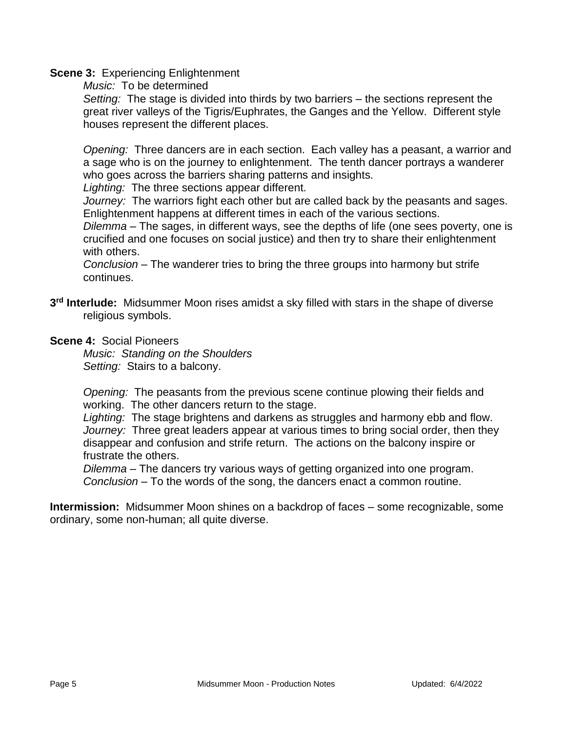### **Scene 3:** Experiencing Enlightenment

*Music:* To be determined

*Setting:* The stage is divided into thirds by two barriers – the sections represent the great river valleys of the Tigris/Euphrates, the Ganges and the Yellow. Different style houses represent the different places.

*Opening:* Three dancers are in each section. Each valley has a peasant, a warrior and a sage who is on the journey to enlightenment. The tenth dancer portrays a wanderer who goes across the barriers sharing patterns and insights.

*Lighting:* The three sections appear different.

*Journey:* The warriors fight each other but are called back by the peasants and sages. Enlightenment happens at different times in each of the various sections.

*Dilemma* – The sages, in different ways, see the depths of life (one sees poverty, one is crucified and one focuses on social justice) and then try to share their enlightenment with others.

*Conclusion* – The wanderer tries to bring the three groups into harmony but strife continues.

- **3 rd Interlude:** Midsummer Moon rises amidst a sky filled with stars in the shape of diverse religious symbols.
- **Scene 4:** Social Pioneers

*Music: Standing on the Shoulders Setting:* Stairs to a balcony.

*Opening:* The peasants from the previous scene continue plowing their fields and working. The other dancers return to the stage.

*Lighting:* The stage brightens and darkens as struggles and harmony ebb and flow. *Journey:* Three great leaders appear at various times to bring social order, then they disappear and confusion and strife return. The actions on the balcony inspire or frustrate the others.

*Dilemma* – The dancers try various ways of getting organized into one program. *Conclusion* – To the words of the song, the dancers enact a common routine.

**Intermission:** Midsummer Moon shines on a backdrop of faces – some recognizable, some ordinary, some non-human; all quite diverse.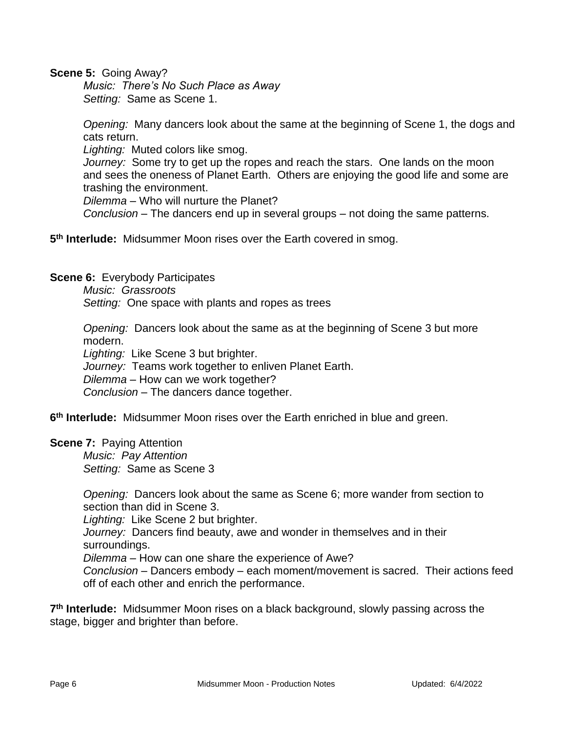**Scene 5:** Going Away?

*Music: There's No Such Place as Away Setting:* Same as Scene 1.

*Opening:* Many dancers look about the same at the beginning of Scene 1, the dogs and cats return.

*Lighting:* Muted colors like smog.

*Journey:* Some try to get up the ropes and reach the stars. One lands on the moon and sees the oneness of Planet Earth. Others are enjoying the good life and some are trashing the environment.

*Dilemma* – Who will nurture the Planet?

*Conclusion* – The dancers end up in several groups – not doing the same patterns.

**5 th Interlude:** Midsummer Moon rises over the Earth covered in smog.

**Scene 6:** Everybody Participates

*Music: Grassroots Setting:* One space with plants and ropes as trees

*Opening:* Dancers look about the same as at the beginning of Scene 3 but more modern.

*Lighting:* Like Scene 3 but brighter.

*Journey:* Teams work together to enliven Planet Earth.

*Dilemma* – How can we work together?

*Conclusion* – The dancers dance together.

**6 th Interlude:** Midsummer Moon rises over the Earth enriched in blue and green.

**Scene 7:** Paying Attention

*Music: Pay Attention Setting:* Same as Scene 3

*Opening:* Dancers look about the same as Scene 6; more wander from section to section than did in Scene 3.

*Lighting:* Like Scene 2 but brighter.

*Journey:* Dancers find beauty, awe and wonder in themselves and in their surroundings.

*Dilemma* – How can one share the experience of Awe?

*Conclusion* – Dancers embody – each moment/movement is sacred. Their actions feed off of each other and enrich the performance.

**7 th Interlude:** Midsummer Moon rises on a black background, slowly passing across the stage, bigger and brighter than before.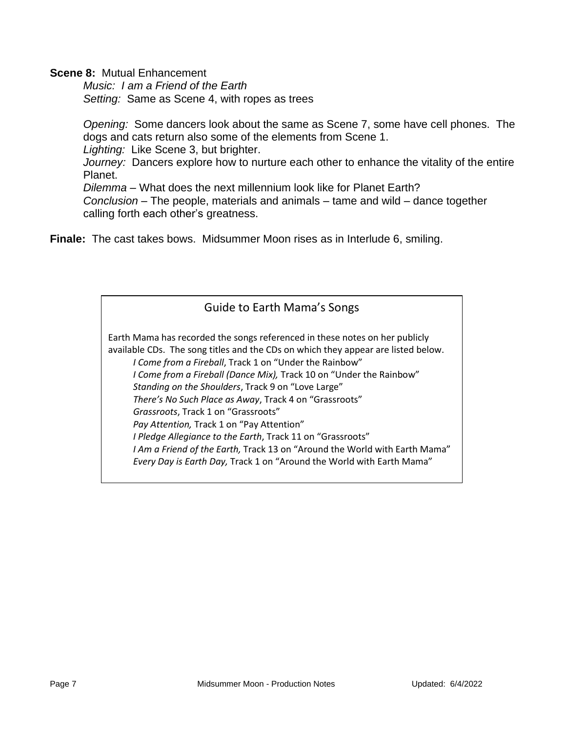**Scene 8:** Mutual Enhancement

*Music: I am a Friend of the Earth Setting:* Same as Scene 4, with ropes as trees

*Opening:* Some dancers look about the same as Scene 7, some have cell phones. The dogs and cats return also some of the elements from Scene 1.

*Lighting:* Like Scene 3, but brighter.

*Journey:* Dancers explore how to nurture each other to enhance the vitality of the entire Planet.

*Dilemma* – What does the next millennium look like for Planet Earth? *Conclusion* – The people, materials and animals – tame and wild – dance together calling forth each other's greatness.

**Finale:** The cast takes bows. Midsummer Moon rises as in Interlude 6, smiling.

### Guide to Earth Mama's Songs

Earth Mama has recorded the songs referenced in these notes on her publicly available CDs. The song titles and the CDs on which they appear are listed below. *I Come from a Fireball*, Track 1 on "Under the Rainbow" *I Come from a Fireball (Dance Mix),* Track 10 on "Under the Rainbow" *Standing on the Shoulders*, Track 9 on "Love Large" *There's No Such Place as Away*, Track 4 on "Grassroots" *Grassroots*, Track 1 on "Grassroots" *Pay Attention,* Track 1 on "Pay Attention" *I Pledge Allegiance to the Earth*, Track 11 on "Grassroots" *I Am a Friend of the Earth,* Track 13 on "Around the World with Earth Mama" *Every Day is Earth Day,* Track 1 on "Around the World with Earth Mama"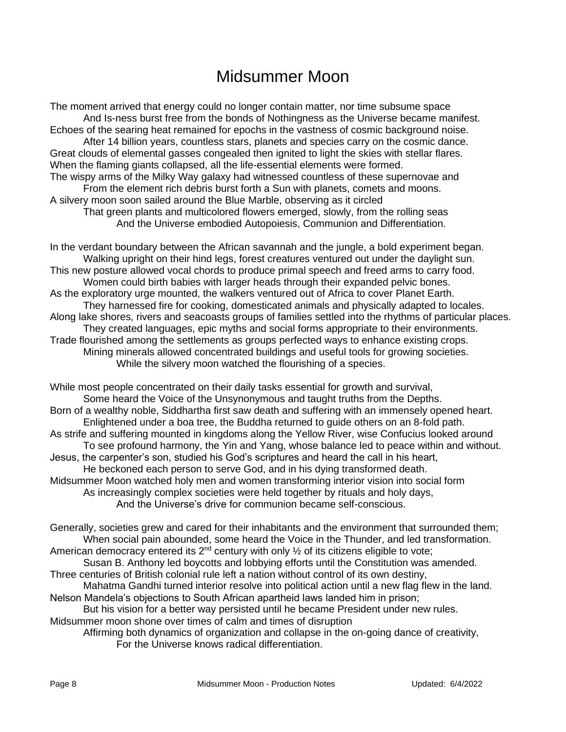# Midsummer Moon

The moment arrived that energy could no longer contain matter, nor time subsume space And Is-ness burst free from the bonds of Nothingness as the Universe became manifest. Echoes of the searing heat remained for epochs in the vastness of cosmic background noise. After 14 billion years, countless stars, planets and species carry on the cosmic dance. Great clouds of elemental gasses congealed then ignited to light the skies with stellar flares. When the flaming giants collapsed, all the life-essential elements were formed. The wispy arms of the Milky Way galaxy had witnessed countless of these supernovae and From the element rich debris burst forth a Sun with planets, comets and moons. A silvery moon soon sailed around the Blue Marble, observing as it circled That green plants and multicolored flowers emerged, slowly, from the rolling seas And the Universe embodied Autopoiesis, Communion and Differentiation.

In the verdant boundary between the African savannah and the jungle, a bold experiment began. Walking upright on their hind legs, forest creatures ventured out under the daylight sun. This new posture allowed vocal chords to produce primal speech and freed arms to carry food. Women could birth babies with larger heads through their expanded pelvic bones. As the exploratory urge mounted, the walkers ventured out of Africa to cover Planet Earth. They harnessed fire for cooking, domesticated animals and physically adapted to locales. Along lake shores, rivers and seacoasts groups of families settled into the rhythms of particular places. They created languages, epic myths and social forms appropriate to their environments. Trade flourished among the settlements as groups perfected ways to enhance existing crops. Mining minerals allowed concentrated buildings and useful tools for growing societies. While the silvery moon watched the flourishing of a species.

While most people concentrated on their daily tasks essential for growth and survival, Some heard the Voice of the Unsynonymous and taught truths from the Depths. Born of a wealthy noble, Siddhartha first saw death and suffering with an immensely opened heart. Enlightened under a boa tree, the Buddha returned to guide others on an 8-fold path. As strife and suffering mounted in kingdoms along the Yellow River, wise Confucius looked around To see profound harmony, the Yin and Yang, whose balance led to peace within and without. Jesus, the carpenter's son, studied his God's scriptures and heard the call in his heart, He beckoned each person to serve God, and in his dying transformed death. Midsummer Moon watched holy men and women transforming interior vision into social form As increasingly complex societies were held together by rituals and holy days, And the Universe's drive for communion became self-conscious.

Generally, societies grew and cared for their inhabitants and the environment that surrounded them; When social pain abounded, some heard the Voice in the Thunder, and led transformation. American democracy entered its  $2^{nd}$  century with only  $\frac{1}{2}$  of its citizens eligible to vote;

Susan B. Anthony led boycotts and lobbying efforts until the Constitution was amended. Three centuries of British colonial rule left a nation without control of its own destiny,

Mahatma Gandhi turned interior resolve into political action until a new flag flew in the land. Nelson Mandela's objections to South African apartheid laws landed him in prison;

But his vision for a better way persisted until he became President under new rules. Midsummer moon shone over times of calm and times of disruption

Affirming both dynamics of organization and collapse in the on-going dance of creativity, For the Universe knows radical differentiation.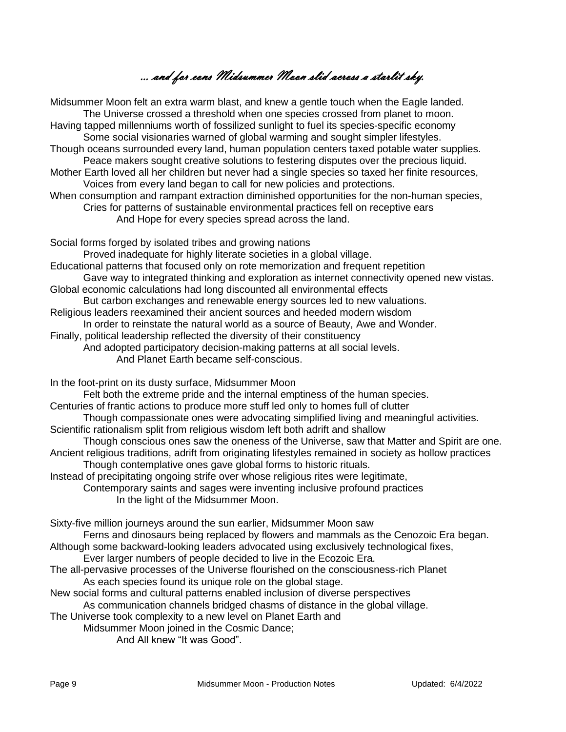… and for eons Midsummer Moon slid across a starlit sky.

Midsummer Moon felt an extra warm blast, and knew a gentle touch when the Eagle landed. The Universe crossed a threshold when one species crossed from planet to moon. Having tapped millenniums worth of fossilized sunlight to fuel its species-specific economy Some social visionaries warned of global warming and sought simpler lifestyles. Though oceans surrounded every land, human population centers taxed potable water supplies. Peace makers sought creative solutions to festering disputes over the precious liquid. Mother Earth loved all her children but never had a single species so taxed her finite resources, Voices from every land began to call for new policies and protections. When consumption and rampant extraction diminished opportunities for the non-human species, Cries for patterns of sustainable environmental practices fell on receptive ears And Hope for every species spread across the land. Social forms forged by isolated tribes and growing nations Proved inadequate for highly literate societies in a global village. Educational patterns that focused only on rote memorization and frequent repetition Gave way to integrated thinking and exploration as internet connectivity opened new vistas.

- Global economic calculations had long discounted all environmental effects
- But carbon exchanges and renewable energy sources led to new valuations.
- Religious leaders reexamined their ancient sources and heeded modern wisdom

In order to reinstate the natural world as a source of Beauty, Awe and Wonder.

Finally, political leadership reflected the diversity of their constituency

- And adopted participatory decision-making patterns at all social levels.
	- And Planet Earth became self-conscious.

In the foot-print on its dusty surface, Midsummer Moon

- Felt both the extreme pride and the internal emptiness of the human species.
- Centuries of frantic actions to produce more stuff led only to homes full of clutter
- Though compassionate ones were advocating simplified living and meaningful activities.
- Scientific rationalism split from religious wisdom left both adrift and shallow
- Though conscious ones saw the oneness of the Universe, saw that Matter and Spirit are one. Ancient religious traditions, adrift from originating lifestyles remained in society as hollow practices
- Though contemplative ones gave global forms to historic rituals.

Instead of precipitating ongoing strife over whose religious rites were legitimate,

Contemporary saints and sages were inventing inclusive profound practices In the light of the Midsummer Moon.

Sixty-five million journeys around the sun earlier, Midsummer Moon saw Ferns and dinosaurs being replaced by flowers and mammals as the Cenozoic Era began. Although some backward-looking leaders advocated using exclusively technological fixes, Ever larger numbers of people decided to live in the Ecozoic Era. The all-pervasive processes of the Universe flourished on the consciousness-rich Planet As each species found its unique role on the global stage.

New social forms and cultural patterns enabled inclusion of diverse perspectives As communication channels bridged chasms of distance in the global village.

The Universe took complexity to a new level on Planet Earth and

Midsummer Moon joined in the Cosmic Dance;

And All knew "It was Good".